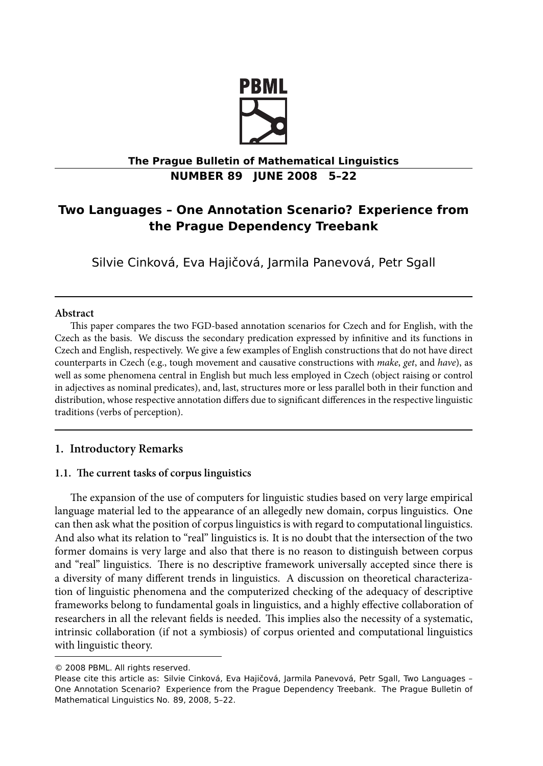

# **The Prague Bulletin of Mathematical Linguistics NUMBER 89 JUNE 2008 5–22**

# **Two Languages – One Annotation Scenario? Experience from the Prague Dependency Treebank**

Silvie Cinková, Eva Hajičová, Jarmila Panevová, Petr Sgall

### **Abstract**

This paper compares the two FGD-based annotation scenarios for Czech and for English, with the Czech as the basis. We discuss the secondary predication expressed by infinitive and its functions in Czech and English, respectively. We give a few examples of English constructions that do not have direct counterparts in Czech (e.g., tough movement and causative constructions with *make*, *get*, and *have*), as well as some phenomena central in English but much less employed in Czech (object raising or control in adjectives as nominal predicates), and, last, structures more or less parallel both in their function and distribution, whose respective annotation differs due to significant differences in the respective linguistic traditions (verbs of perception).

## **1. Introductory Remarks**

## 1.1. The current tasks of corpus linguistics

The expansion of the use of computers for linguistic studies based on very large empirical language material led to the appearance of an allegedly new domain, corpus linguistics. One can then ask what the position of corpus linguistics is with regard to computational linguistics. And also what its relation to "real" linguistics is. It is no doubt that the intersection of the two former domains is very large and also that there is no reason to distinguish between corpus and "real" linguistics. There is no descriptive framework universally accepted since there is a diversity of many different trends in linguistics. A discussion on theoretical characterization of linguistic phenomena and the computerized checking of the adequacy of descriptive frameworks belong to fundamental goals in linguistics, and a highly effective collaboration of researchers in all the relevant fields is needed. This implies also the necessity of a systematic, intrinsic collaboration (if not a symbiosis) of corpus oriented and computational linguistics with linguistic theory.

<sup>© 2008</sup> PBML. All rights reserved.

Please cite this article as: Silvie Cinková, Eva Hajičová, Jarmila Panevová, Petr Sgall, Two Languages – One Annotation Scenario? Experience from the Prague Dependency Treebank. The Prague Bulletin of Mathematical Linguistics No. 89, 2008, 5–22.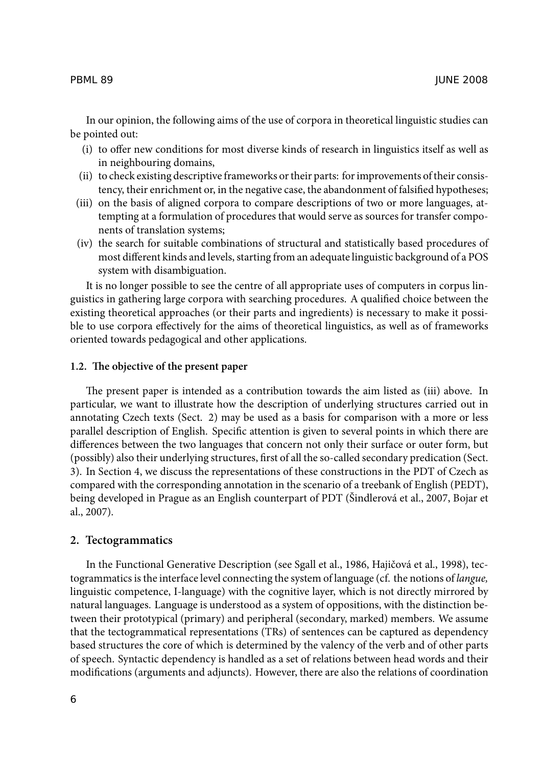In our opinion, the following aims of the use of corpora in theoretical linguistic studies can be pointed out:

- (i) to offer new conditions for most diverse kinds of research in linguistics itself as well as in neighbouring domains,
- (ii) to check existing descriptive frameworks or their parts: for improvements of their consistency, their enrichment or, in the negative case, the abandonment of falsified hypotheses;
- (iii) on the basis of aligned corpora to compare descriptions of two or more languages, attempting at a formulation of procedures that would serve as sources for transfer components of translation systems;
- (iv) the search for suitable combinations of structural and statistically based procedures of most different kinds and levels, starting from an adequate linguistic background of a POS system with disambiguation.

It is no longer possible to see the centre of all appropriate uses of computers in corpus linguistics in gathering large corpora with searching procedures. A qualified choice between the existing theoretical approaches (or their parts and ingredients) is necessary to make it possible to use corpora effectively for the aims of theoretical linguistics, as well as of frameworks oriented towards pedagogical and other applications.

#### **1.2.** The objective of the present paper

The present paper is intended as a contribution towards the aim listed as (iii) above. In particular, we want to illustrate how the description of underlying structures carried out in annotating Czech texts (Sect. 2) may be used as a basis for comparison with a more or less parallel description of English. Specific attention is given to several points in which there are differences between the two languages that concern not only their surface or outer form, but (possibly) also their underlying structures, first of all the so-called secondary predication (Sect. 3). In Section 4, we discuss the representations of these constructions in the PDT of Czech as compared with the corresponding annotation in the scenario of a treebank of English (PEDT), being developed in Prague as an English counterpart of PDT (Šindlerová et al., 2007, Bojar et al., 2007).

#### **2. Tectogrammatics**

In the Functional Generative Description (see Sgall et al., 1986, Hajičová et al., 1998), tectogrammatics is the interface level connecting the system of language (cf. the notions of *langue,* linguistic competence, I-language) with the cognitive layer, which is not directly mirrored by natural languages. Language is understood as a system of oppositions, with the distinction between their prototypical (primary) and peripheral (secondary, marked) members. We assume that the tectogrammatical representations (TRs) of sentences can be captured as dependency based structures the core of which is determined by the valency of the verb and of other parts of speech. Syntactic dependency is handled as a set of relations between head words and their modifications (arguments and adjuncts). However, there are also the relations of coordination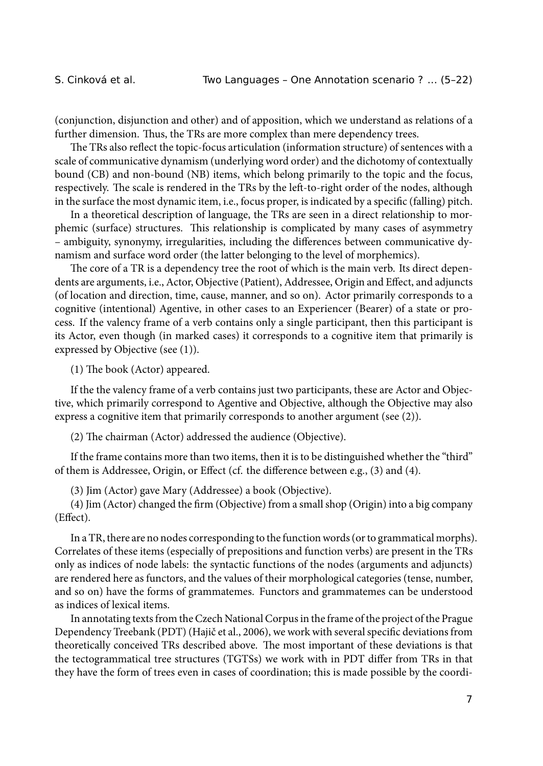(conjunction, disjunction and other) and of apposition, which we understand as relations of a further dimension. Thus, the TRs are more complex than mere dependency trees.

The TRs also reflect the topic-focus articulation (information structure) of sentences with a scale of communicative dynamism (underlying word order) and the dichotomy of contextually bound (CB) and non-bound (NB) items, which belong primarily to the topic and the focus, respectively. The scale is rendered in the TRs by the left-to-right order of the nodes, although in the surface the most dynamic item, i.e., focus proper, is indicated by a specific (falling) pitch.

In a theoretical description of language, the TRs are seen in a direct relationship to morphemic (surface) structures. This relationship is complicated by many cases of asymmetry – ambiguity, synonymy, irregularities, including the differences between communicative dynamism and surface word order (the latter belonging to the level of morphemics).

The core of a TR is a dependency tree the root of which is the main verb. Its direct dependents are arguments, i.e., Actor, Objective (Patient), Addressee, Origin and Effect, and adjuncts (of location and direction, time, cause, manner, and so on). Actor primarily corresponds to a cognitive (intentional) Agentive, in other cases to an Experiencer (Bearer) of a state or process. If the valency frame of a verb contains only a single participant, then this participant is its Actor, even though (in marked cases) it corresponds to a cognitive item that primarily is expressed by Objective (see (1)).

 $(1)$  The book (Actor) appeared.

If the the valency frame of a verb contains just two participants, these are Actor and Objective, which primarily correspond to Agentive and Objective, although the Objective may also express a cognitive item that primarily corresponds to another argument (see (2)).

 $(2)$  The chairman (Actor) addressed the audience (Objective).

If the frame contains more than two items, then it is to be distinguished whether the "third" of them is Addressee, Origin, or Effect (cf. the difference between e.g., (3) and (4).

(3) Jim (Actor) gave Mary (Addressee) a book (Objective).

(4) Jim (Actor) changed the firm (Objective) from a small shop (Origin) into a big company (Effect).

In a TR, there are no nodes corresponding to the function words (or to grammatical morphs). Correlates of these items (especially of prepositions and function verbs) are present in the TRs only as indices of node labels: the syntactic functions of the nodes (arguments and adjuncts) are rendered here as functors, and the values of their morphological categories (tense, number, and so on) have the forms of grammatemes. Functors and grammatemes can be understood as indices of lexical items.

In annotating texts from the Czech National Corpus in the frame of the project of the Prague Dependency Treebank (PDT) (Hajič et al., 2006), we work with several specific deviations from theoretically conceived TRs described above. The most important of these deviations is that the tectogrammatical tree structures (TGTSs) we work with in PDT differ from TRs in that they have the form of trees even in cases of coordination; this is made possible by the coordi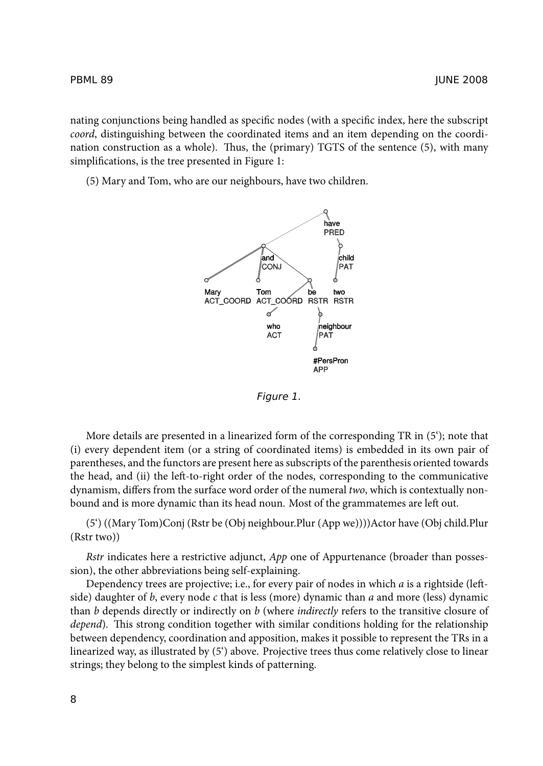nating conjunctions being handled as specific nodes (with a specific index, here the subscript *coord*, distinguishing between the coordinated items and an item depending on the coordination construction as a whole). Thus, the (primary) TGTS of the sentence  $(5)$ , with many simplifications, is the tree presented in Figure 1:

(5) Mary and Tom, who are our neighbours, have two children.



*Figure 1.*

More details are presented in a linearized form of the corresponding TR in (5'); note that (i) every dependent item (or a string of coordinated items) is embedded in its own pair of parentheses, and the functors are present here as subscripts of the parenthesis oriented towards the head, and (ii) the left-to-right order of the nodes, corresponding to the communicative dynamism, differs from the surface word order of the numeral *two*, which is contextually nonbound and is more dynamic than its head noun. Most of the grammatemes are left out.

(5') ((Mary Tom)Conj (Rstr be (Obj neighbour.Plur (App we))))Actor have (Obj child.Plur (Rstr two))

*Rstr* indicates here a restrictive adjunct, *App* one of Appurtenance (broader than possession), the other abbreviations being self-explaining.

Dependency trees are projective; i.e., for every pair of nodes in which *a* is a rightside (leftside) daughter of *b*, every node *c* that is less (more) dynamic than *a* and more (less) dynamic than *b* depends directly or indirectly on *b* (where *indirectly* refers to the transitive closure of *depend*). This strong condition together with similar conditions holding for the relationship between dependency, coordination and apposition, makes it possible to represent the TRs in a linearized way, as illustrated by (5') above. Projective trees thus come relatively close to linear strings; they belong to the simplest kinds of patterning.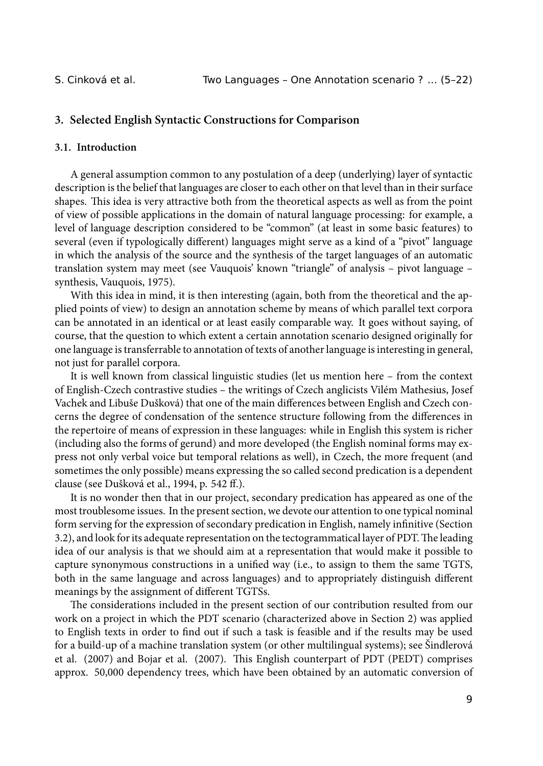# **3. Selected English Syntactic Constructions for Comparison**

#### **3.1. Introduction**

A general assumption common to any postulation of a deep (underlying) layer of syntactic description is the belief that languages are closer to each other on that level than in their surface shapes. This idea is very attractive both from the theoretical aspects as well as from the point of view of possible applications in the domain of natural language processing: for example, a level of language description considered to be "common" (at least in some basic features) to several (even if typologically different) languages might serve as a kind of a "pivot" language in which the analysis of the source and the synthesis of the target languages of an automatic translation system may meet (see Vauquois' known "triangle" of analysis – pivot language – synthesis, Vauquois, 1975).

With this idea in mind, it is then interesting (again, both from the theoretical and the applied points of view) to design an annotation scheme by means of which parallel text corpora can be annotated in an identical or at least easily comparable way. It goes without saying, of course, that the question to which extent a certain annotation scenario designed originally for one language is transferrable to annotation of texts of another language is interesting in general, not just for parallel corpora.

It is well known from classical linguistic studies (let us mention here – from the context of English-Czech contrastive studies – the writings of Czech anglicists Vilém Mathesius, Josef Vachek and Libuše Dušková) that one of the main differences between English and Czech concerns the degree of condensation of the sentence structure following from the differences in the repertoire of means of expression in these languages: while in English this system is richer (including also the forms of gerund) and more developed (the English nominal forms may express not only verbal voice but temporal relations as well), in Czech, the more frequent (and sometimes the only possible) means expressing the so called second predication is a dependent clause (see Dušková et al., 1994, p. 542 ff.).

It is no wonder then that in our project, secondary predication has appeared as one of the most troublesome issues. In the present section, we devote our attention to one typical nominal form serving for the expression of secondary predication in English, namely infinitive (Section 3.2), and look for its adequate representation on the tectogrammatical layer of PDT. The leading idea of our analysis is that we should aim at a representation that would make it possible to capture synonymous constructions in a unified way (i.e., to assign to them the same TGTS, both in the same language and across languages) and to appropriately distinguish different meanings by the assignment of different TGTSs.

The considerations included in the present section of our contribution resulted from our work on a project in which the PDT scenario (characterized above in Section 2) was applied to English texts in order to find out if such a task is feasible and if the results may be used for a build-up of a machine translation system (or other multilingual systems); see Šindlerová et al. (2007) and Bojar et al. (2007). This English counterpart of PDT (PEDT) comprises approx. 50,000 dependency trees, which have been obtained by an automatic conversion of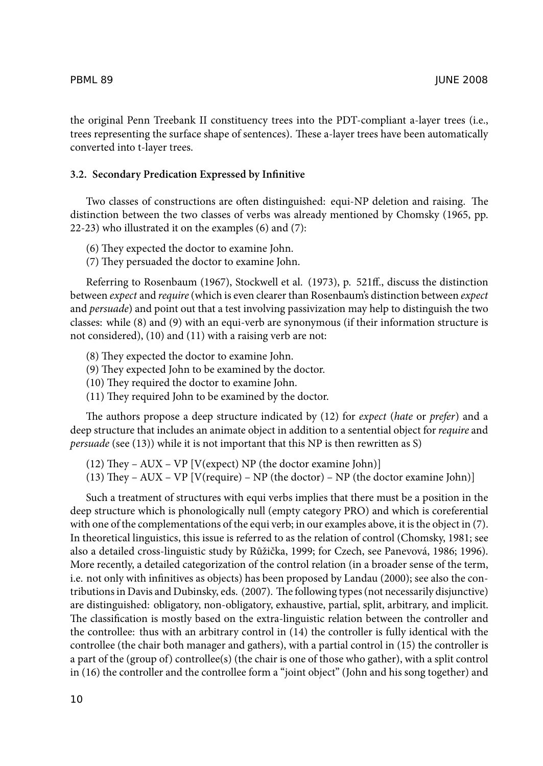the original Penn Treebank II constituency trees into the PDT-compliant a-layer trees (i.e., trees representing the surface shape of sentences). These a-layer trees have been automatically converted into t-layer trees.

#### **3.2. Secondary Predication Expressed by Infinitive**

Two classes of constructions are often distinguished: equi-NP deletion and raising. The distinction between the two classes of verbs was already mentioned by Chomsky (1965, pp. 22-23) who illustrated it on the examples (6) and (7):

- (6) They expected the doctor to examine John.
- (7) They persuaded the doctor to examine John.

Referring to Rosenbaum (1967), Stockwell et al. (1973), p. 521ff., discuss the distinction between *expect* and *require* (which is even clearer than Rosenbaum's distinction between *expect* and *persuade*) and point out that a test involving passivization may help to distinguish the two classes: while (8) and (9) with an equi-verb are synonymous (if their information structure is not considered), (10) and (11) with a raising verb are not:

- $(8)$  They expected the doctor to examine John.
- $(9)$  They expected John to be examined by the doctor.
- $(10)$  They required the doctor to examine John.
- $(11)$  They required John to be examined by the doctor.

e authors propose a deep structure indicated by (12) for *expect* (*hate* or *prefer*) and a deep structure that includes an animate object in addition to a sentential object for *require* and *persuade* (see (13)) while it is not important that this NP is then rewritten as S)

(12) They – AUX – VP [V(expect) NP (the doctor examine John)]

(13) They – AUX – VP [V(require) – NP (the doctor) – NP (the doctor examine John)]

Such a treatment of structures with equi verbs implies that there must be a position in the deep structure which is phonologically null (empty category PRO) and which is coreferential with one of the complementations of the equi verb; in our examples above, it is the object in (7). In theoretical linguistics, this issue is referred to as the relation of control (Chomsky, 1981; see also a detailed cross-linguistic study by Růžička, 1999; for Czech, see Panevová, 1986; 1996). More recently, a detailed categorization of the control relation (in a broader sense of the term, i.e. not only with infinitives as objects) has been proposed by Landau (2000); see also the contributions in Davis and Dubinsky, eds. (2007). The following types (not necessarily disjunctive) are distinguished: obligatory, non-obligatory, exhaustive, partial, split, arbitrary, and implicit. The classification is mostly based on the extra-linguistic relation between the controller and the controllee: thus with an arbitrary control in (14) the controller is fully identical with the controllee (the chair both manager and gathers), with a partial control in (15) the controller is a part of the (group of) controllee(s) (the chair is one of those who gather), with a split control in (16) the controller and the controllee form a "joint object" (John and his song together) and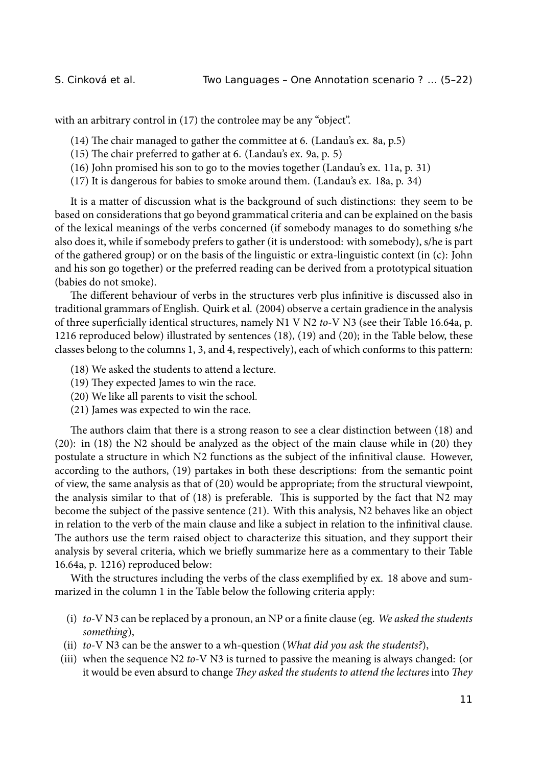with an arbitrary control in (17) the controlee may be any "object".

 $(14)$  The chair managed to gather the committee at 6. (Landau's ex. 8a, p.5)

- $(15)$  The chair preferred to gather at 6. (Landau's ex. 9a, p. 5)
- (16) John promised his son to go to the movies together (Landau's ex. 11a, p. 31)
- (17) It is dangerous for babies to smoke around them. (Landau's ex. 18a, p. 34)

It is a matter of discussion what is the background of such distinctions: they seem to be based on considerations that go beyond grammatical criteria and can be explained on the basis of the lexical meanings of the verbs concerned (if somebody manages to do something s/he also does it, while if somebody prefers to gather (it is understood: with somebody), s/he is part of the gathered group) or on the basis of the linguistic or extra-linguistic context (in (c): John and his son go together) or the preferred reading can be derived from a prototypical situation (babies do not smoke).

The different behaviour of verbs in the structures verb plus infinitive is discussed also in traditional grammars of English. Quirk et al. (2004) observe a certain gradience in the analysis of three superficially identical structures, namely N1 V N2 *to*-V N3 (see their Table 16.64a, p. 1216 reproduced below) illustrated by sentences (18), (19) and (20); in the Table below, these classes belong to the columns 1, 3, and 4, respectively), each of which conforms to this pattern:

- (18) We asked the students to attend a lecture.
- $(19)$  They expected James to win the race.
- (20) We like all parents to visit the school.
- (21) James was expected to win the race.

The authors claim that there is a strong reason to see a clear distinction between (18) and (20): in (18) the N2 should be analyzed as the object of the main clause while in (20) they postulate a structure in which N2 functions as the subject of the infinitival clause. However, according to the authors, (19) partakes in both these descriptions: from the semantic point of view, the same analysis as that of (20) would be appropriate; from the structural viewpoint, the analysis similar to that of  $(18)$  is preferable. This is supported by the fact that N2 may become the subject of the passive sentence (21). With this analysis, N2 behaves like an object in relation to the verb of the main clause and like a subject in relation to the infinitival clause. The authors use the term raised object to characterize this situation, and they support their analysis by several criteria, which we briefly summarize here as a commentary to their Table 16.64a, p. 1216) reproduced below:

With the structures including the verbs of the class exemplified by ex. 18 above and summarized in the column 1 in the Table below the following criteria apply:

- (i) *to-*V N3 can be replaced by a pronoun, an NP or a finite clause (eg. *We asked the students something*),
- (ii) *to*-V N3 can be the answer to a wh-question (*What did you ask the students?*),
- (iii) when the sequence N2 *to*-V N3 is turned to passive the meaning is always changed: (or it would be even absurd to change *They asked the students to attend the lectures* into *They*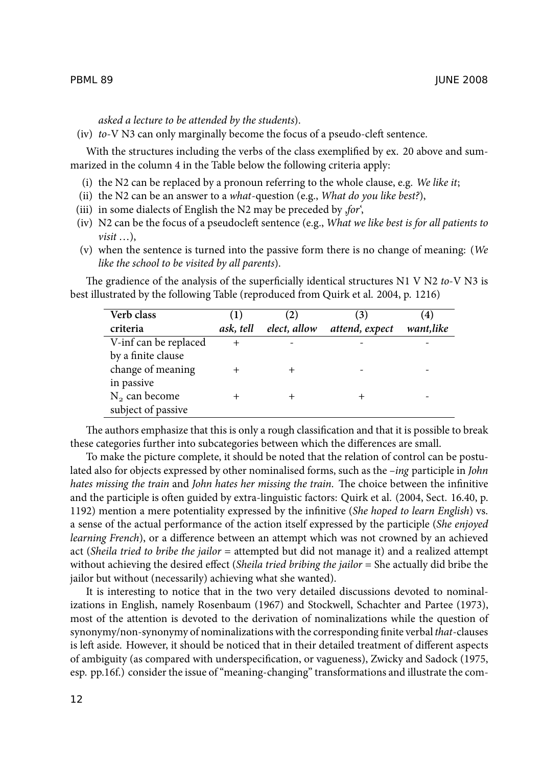*asked a lecture to be attended by the students*).

(iv) *to*-V N3 can only marginally become the focus of a pseudo-cleft sentence.

With the structures including the verbs of the class exemplified by ex. 20 above and summarized in the column 4 in the Table below the following criteria apply:

- (i) the N2 can be replaced by a pronoun referring to the whole clause, e.g. *We like it*;
- (ii) the N2 can be an answer to a *what*-question (e.g., *What do you like best?*),
- (iii) in some dialects of English the N2 may be preceded by ,*for*',
- (iv) N2 can be the focus of a pseudocleft sentence (e.g., *What we like best is for all patients to visit* …),
- (v) when the sentence is turned into the passive form there is no change of meaning: (*We like the school to be visited by all parents*).

e gradience of the analysis of the superficially identical structures N1 V N2 *to*-V N3 is best illustrated by the following Table (reproduced from Quirk et al. 2004, p. 1216)

| Verb class<br>criteria | (1)<br>ask, tell | (2)<br>elect, allow | (3)<br>attend, expect | (4)<br>want,like |
|------------------------|------------------|---------------------|-----------------------|------------------|
| V-inf can be replaced  | $^{+}$           |                     |                       |                  |
| by a finite clause     |                  |                     |                       |                  |
| change of meaning      | +                |                     |                       |                  |
| in passive             |                  |                     |                       |                  |
| $N2$ can become        | ┿                |                     |                       |                  |
| subject of passive     |                  |                     |                       |                  |

The authors emphasize that this is only a rough classification and that it is possible to break these categories further into subcategories between which the differences are small.

To make the picture complete, it should be noted that the relation of control can be postulated also for objects expressed by other nominalised forms, such as the –*ing* participle in *John hates missing the train* and *John hates her missing the train*. The choice between the infinitive and the participle is often guided by extra-linguistic factors: Quirk et al. (2004, Sect. 16.40, p. 1192) mention a mere potentiality expressed by the infinitive (*She hoped to learn English*) vs. a sense of the actual performance of the action itself expressed by the participle (*She enjoyed learning French*), or a difference between an attempt which was not crowned by an achieved act (*Sheila tried to bribe the jailor* = attempted but did not manage it) and a realized attempt without achieving the desired effect (*Sheila tried bribing the jailor* = She actually did bribe the jailor but without (necessarily) achieving what she wanted).

It is interesting to notice that in the two very detailed discussions devoted to nominalizations in English, namely Rosenbaum (1967) and Stockwell, Schachter and Partee (1973), most of the attention is devoted to the derivation of nominalizations while the question of synonymy/non-synonymy of nominalizations with the corresponding finite verbal*that*-clauses is left aside. However, it should be noticed that in their detailed treatment of different aspects of ambiguity (as compared with underspecification, or vagueness), Zwicky and Sadock (1975, esp. pp.16f.) consider the issue of "meaning-changing" transformations and illustrate the com-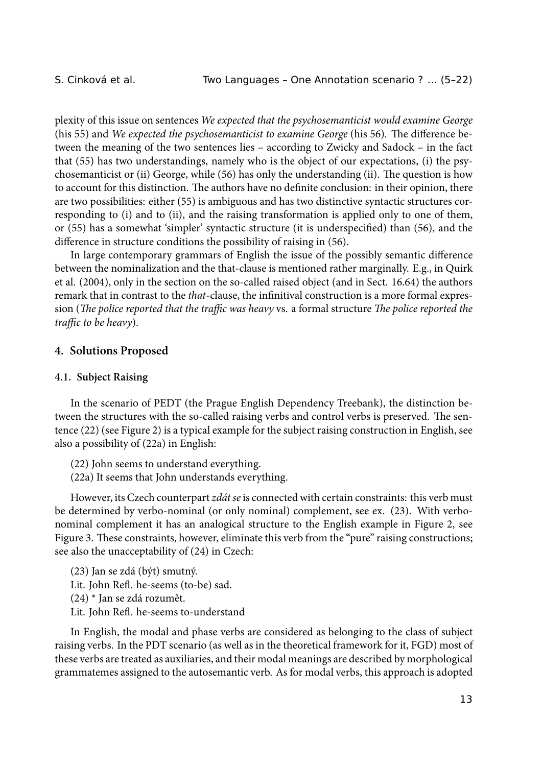plexity of this issue on sentences *We expected that the psychosemanticist would examine George* (his 55) and *We expected the psychosemanticist to examine George* (his 56). The difference between the meaning of the two sentences lies – according to Zwicky and Sadock – in the fact that (55) has two understandings, namely who is the object of our expectations, (i) the psychosemanticist or (ii) George, while  $(56)$  has only the understanding (ii). The question is how to account for this distinction. The authors have no definite conclusion: in their opinion, there are two possibilities: either (55) is ambiguous and has two distinctive syntactic structures corresponding to (i) and to (ii), and the raising transformation is applied only to one of them, or (55) has a somewhat 'simpler' syntactic structure (it is underspecified) than (56), and the difference in structure conditions the possibility of raising in (56).

In large contemporary grammars of English the issue of the possibly semantic difference between the nominalization and the that-clause is mentioned rather marginally. E.g., in Quirk et al. (2004), only in the section on the so-called raised object (and in Sect. 16.64) the authors remark that in contrast to the *that*-clause, the infinitival construction is a more formal expression (*The police reported that the traffic was heavy* vs. a formal structure *The police reported the traffic to be heavy*).

#### **4. Solutions Proposed**

#### **4.1. Subject Raising**

In the scenario of PEDT (the Prague English Dependency Treebank), the distinction between the structures with the so-called raising verbs and control verbs is preserved. The sentence (22) (see Figure 2) is a typical example for the subject raising construction in English, see also a possibility of (22a) in English:

(22) John seems to understand everything.

(22a) It seems that John understands everything.

However, its Czech counterpart *zdát se* is connected with certain constraints: this verb must be determined by verbo-nominal (or only nominal) complement, see ex. (23). With verbonominal complement it has an analogical structure to the English example in Figure 2, see Figure 3. These constraints, however, eliminate this verb from the "pure" raising constructions; see also the unacceptability of (24) in Czech:

(23) Jan se zdá (být) smutný. Lit. John Refl. he-seems (to-be) sad. (24) \* Jan se zdá rozumět. Lit. John Refl. he-seems to-understand

In English, the modal and phase verbs are considered as belonging to the class of subject raising verbs. In the PDT scenario (as well as in the theoretical framework for it, FGD) most of these verbs are treated as auxiliaries, and their modal meanings are described by morphological grammatemes assigned to the autosemantic verb. As for modal verbs, this approach is adopted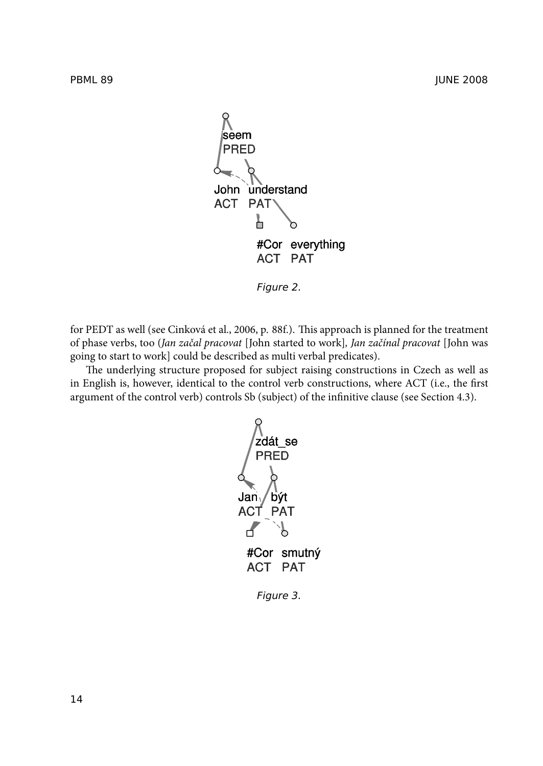

*Figure 2.*

for PEDT as well (see Cinková et al., 2006, p. 88f.). This approach is planned for the treatment of phase verbs, too (*Jan začal pracovat* [John started to work]*, Jan začínal pracovat* [John was going to start to work] could be described as multi verbal predicates).

The underlying structure proposed for subject raising constructions in Czech as well as in English is, however, identical to the control verb constructions, where ACT (i.e., the first argument of the control verb) controls Sb (subject) of the infinitive clause (see Section 4.3).



*Figure 3.*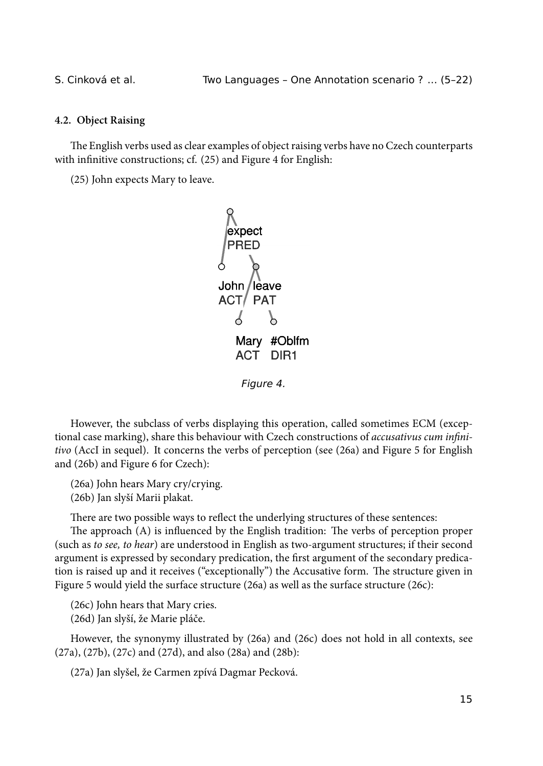### **4.2. Object Raising**

The English verbs used as clear examples of object raising verbs have no Czech counterparts with infinitive constructions; cf. (25) and Figure 4 for English:

(25) John expects Mary to leave.



However, the subclass of verbs displaying this operation, called sometimes ECM (exceptional case marking), share this behaviour with Czech constructions of *accusativus cum infinitivo* (AccI in sequel). It concerns the verbs of perception (see (26a) and Figure 5 for English and (26b) and Figure 6 for Czech):

(26a) John hears Mary cry/crying.

(26b) Jan slyší Marii plakat.

There are two possible ways to reflect the underlying structures of these sentences:

The approach  $(A)$  is influenced by the English tradition: The verbs of perception proper (such as *to see, to hear*) are understood in English as two-argument structures; if their second argument is expressed by secondary predication, the first argument of the secondary predication is raised up and it receives ("exceptionally") the Accusative form. The structure given in Figure 5 would yield the surface structure (26a) as well as the surface structure (26c):

(26c) John hears that Mary cries.

(26d) Jan slyší, že Marie pláče.

However, the synonymy illustrated by (26a) and (26c) does not hold in all contexts, see (27a), (27b), (27c) and (27d), and also (28a) and (28b):

(27a) Jan slyšel, že Carmen zpívá Dagmar Pecková.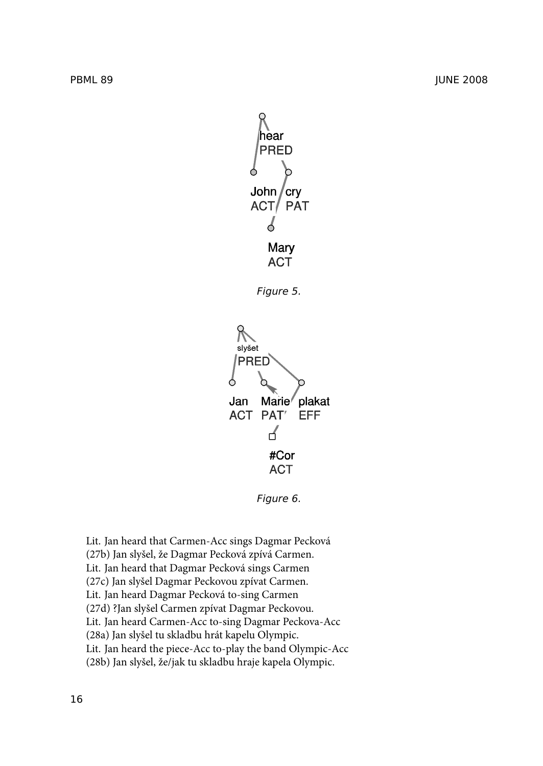

*Figure 5.*



*Figure 6.*

Lit. Jan heard that Carmen-Acc sings Dagmar Pecková (27b) Jan slyšel, že Dagmar Pecková zpívá Carmen. Lit. Jan heard that Dagmar Pecková sings Carmen (27c) Jan slyšel Dagmar Peckovou zpívat Carmen. Lit. Jan heard Dagmar Pecková to-sing Carmen (27d) ?Jan slyšel Carmen zpívat Dagmar Peckovou. Lit. Jan heard Carmen-Acc to-sing Dagmar Peckova-Acc (28a) Jan slyšel tu skladbu hrát kapelu Olympic. Lit. Jan heard the piece-Acc to-play the band Olympic-Acc (28b) Jan slyšel, že/jak tu skladbu hraje kapela Olympic.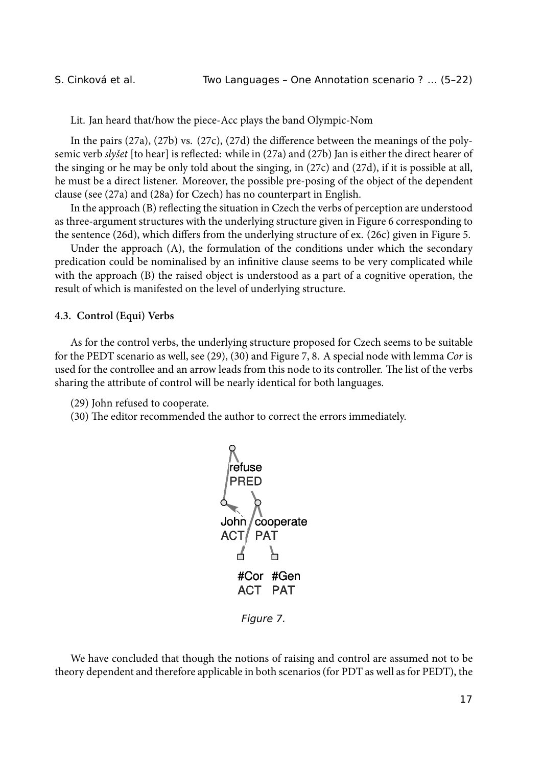Lit. Jan heard that/how the piece-Acc plays the band Olympic-Nom

In the pairs (27a), (27b) vs. (27c), (27d) the difference between the meanings of the polysemic verb *slyšet* [to hear] is reflected: while in (27a) and (27b) Jan is either the direct hearer of the singing or he may be only told about the singing, in (27c) and (27d), if it is possible at all, he must be a direct listener. Moreover, the possible pre-posing of the object of the dependent clause (see (27a) and (28a) for Czech) has no counterpart in English.

In the approach (B) reflecting the situation in Czech the verbs of perception are understood as three-argument structures with the underlying structure given in Figure 6 corresponding to the sentence (26d), which differs from the underlying structure of ex. (26c) given in Figure 5.

Under the approach (A), the formulation of the conditions under which the secondary predication could be nominalised by an infinitive clause seems to be very complicated while with the approach (B) the raised object is understood as a part of a cognitive operation, the result of which is manifested on the level of underlying structure.

#### **4.3. Control (Equi) Verbs**

As for the control verbs, the underlying structure proposed for Czech seems to be suitable for the PEDT scenario as well, see (29), (30) and Figure 7, 8. A special node with lemma *Cor* is used for the controllee and an arrow leads from this node to its controller. The list of the verbs sharing the attribute of control will be nearly identical for both languages.

(29) John refused to cooperate.

(30) The editor recommended the author to correct the errors immediately.



*Figure 7.*

We have concluded that though the notions of raising and control are assumed not to be theory dependent and therefore applicable in both scenarios (for PDT as well as for PEDT), the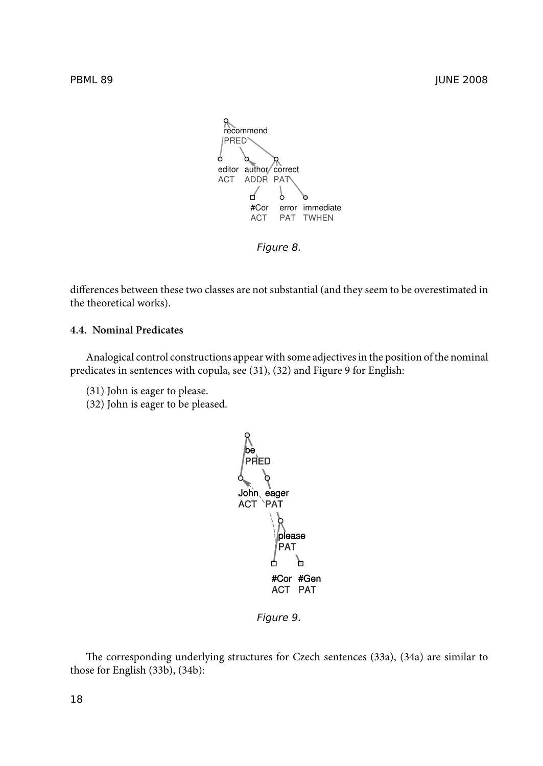

differences between these two classes are not substantial (and they seem to be overestimated in

### **4.4. Nominal Predicates**

the theoretical works).

Analogical control constructions appear with some adjectives in the position of the nominal predicates in sentences with copula, see (31), (32) and Figure 9 for English:

- (31) John is eager to please.
- (32) John is eager to be pleased.



*Figure 9.*

The corresponding underlying structures for Czech sentences (33a), (34a) are similar to those for English (33b), (34b):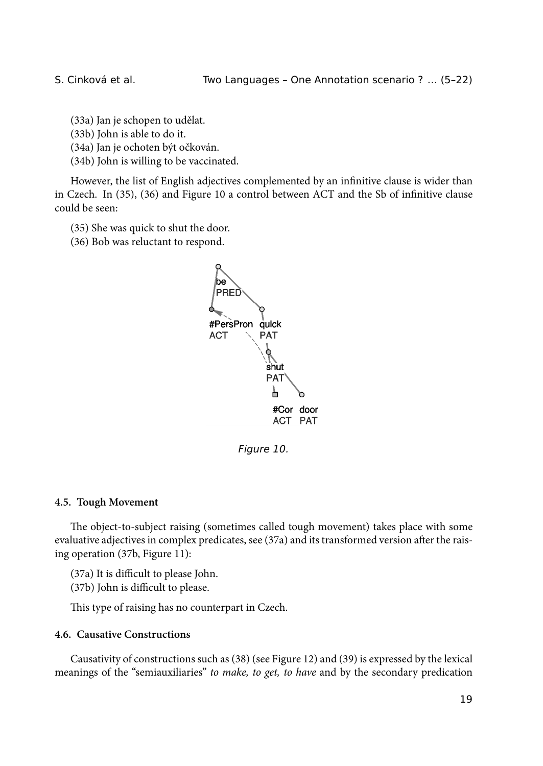(33a) Jan je schopen to udělat.

(33b) John is able to do it.

(34a) Jan je ochoten být očkován.

(34b) John is willing to be vaccinated.

However, the list of English adjectives complemented by an infinitive clause is wider than in Czech. In (35), (36) and Figure 10 a control between ACT and the Sb of infinitive clause could be seen:

(35) She was quick to shut the door.

(36) Bob was reluctant to respond.



*Figure 10.*

### **4.5. Tough Movement**

The object-to-subject raising (sometimes called tough movement) takes place with some evaluative adjectives in complex predicates, see (37a) and its transformed version after the raising operation (37b, Figure 11):

(37a) It is difficult to please John.

(37b) John is difficult to please.

This type of raising has no counterpart in Czech.

### **4.6. Causative Constructions**

Causativity of constructions such as (38) (see Figure 12) and (39) is expressed by the lexical meanings of the "semiauxiliaries" *to make, to get, to have* and by the secondary predication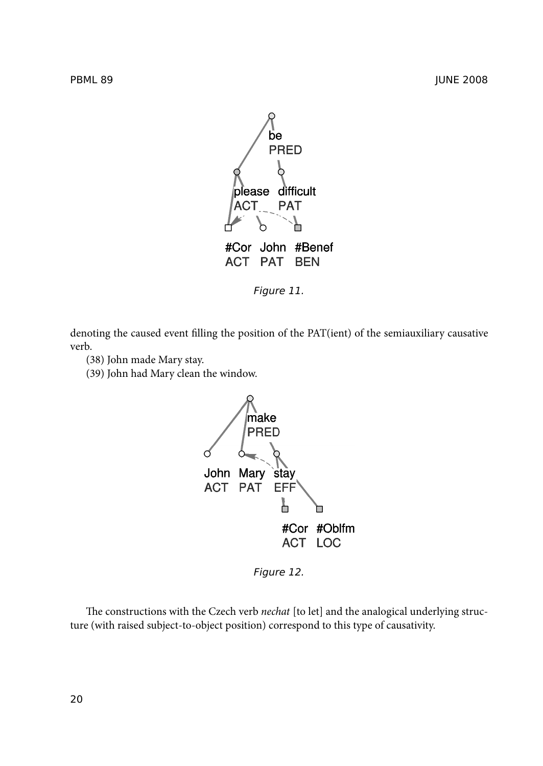

*Figure 11.*

denoting the caused event filling the position of the PAT(ient) of the semiauxiliary causative verb.

- (38) John made Mary stay.
- (39) John had Mary clean the window.



*Figure 12.*

The constructions with the Czech verb *nechat* [to let] and the analogical underlying structure (with raised subject-to-object position) correspond to this type of causativity.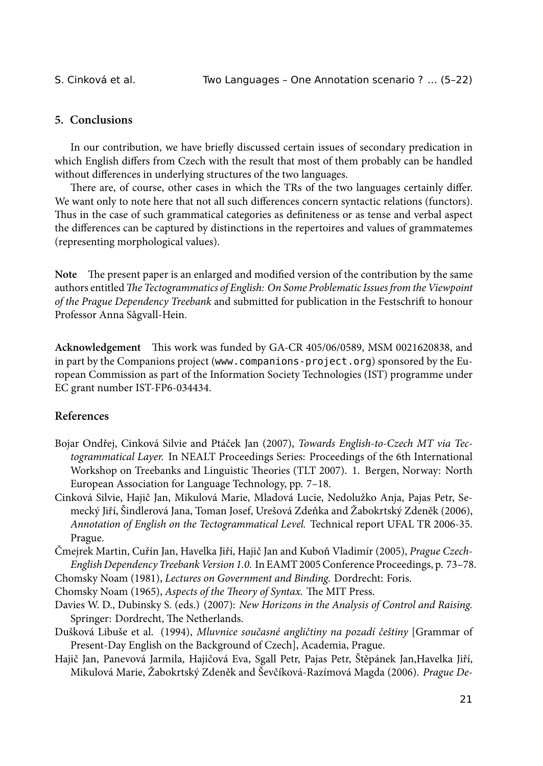# **5. Conclusions**

In our contribution, we have briefly discussed certain issues of secondary predication in which English differs from Czech with the result that most of them probably can be handled without differences in underlying structures of the two languages.

There are, of course, other cases in which the TRs of the two languages certainly differ. We want only to note here that not all such differences concern syntactic relations (functors). Thus in the case of such grammatical categories as definiteness or as tense and verbal aspect the differences can be captured by distinctions in the repertoires and values of grammatemes (representing morphological values).

Note The present paper is an enlarged and modified version of the contribution by the same authors entitled *The Tectogrammatics of English: On Some Problematic Issues from the Viewpoint of the Prague Dependency Treebank* and submitted for publication in the Festschrift to honour Professor Anna Sågvall-Hein.

**Acknowledgement** This work was funded by GA-CR 405/06/0589, MSM 0021620838, and in part by the Companions project (www.companions-project.org) sponsored by the European Commission as part of the Information Society Technologies (IST) programme under EC grant number IST-FP6-034434.

# **References**

- Bojar Ondřej, Cinková Silvie and Ptáček Jan (2007), *Towards English-to-Czech MT via Tectogrammatical Layer.* In NEALT Proceedings Series: Proceedings of the 6th International Workshop on Treebanks and Linguistic Theories (TLT 2007). 1. Bergen, Norway: North European Association for Language Technology, pp. 7–18.
- Cinková Silvie, Hajič Jan, Mikulová Marie, Mladová Lucie, Nedolužko Anja, Pajas Petr, Semecký Jiří, Šindlerová Jana, Toman Josef, Urešová Zdeňka and Žabokrtský Zdeněk (2006), *Annotation of English on the Tectogrammatical Level.* Technical report UFAL TR 2006-35. Prague.

Čmejrek Martin, Cuřín Jan, Havelka Jiří, Hajič Jan and Kuboň Vladimír (2005), *Prague Czech-English Dependency Treebank Version 1.0.* In EAMT 2005 Conference Proceedings, p. 73–78.

Chomsky Noam (1981), *Lectures on Government and Binding*. Dordrecht: Foris.

Chomsky Noam (1965), Aspects of the Theory of Syntax. The MIT Press.

- Davies W. D., Dubinsky S. (eds.) (2007): *New Horizons in the Analysis of Control and Raising.* Springer: Dordrecht, The Netherlands.
- Dušková Libuše et al. (1994), *Mluvnice současné angličtiny na pozadí češtiny* [Grammar of Present-Day English on the Background of Czech], Academia, Prague.
- Hajič Jan, Panevová Jarmila, Hajičová Eva, Sgall Petr, Pajas Petr, Štěpánek Jan,Havelka Jiří, Mikulová Marie, Žabokrtský Zdeněk and Ševčíková-Razímová Magda (2006). *Prague De-*